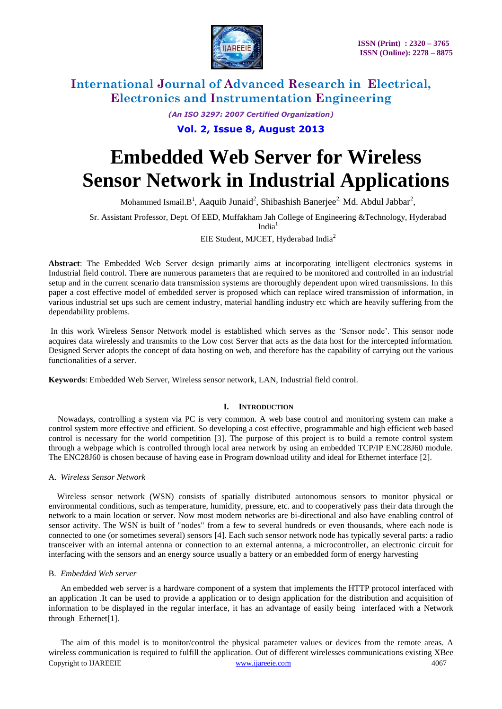

*(An ISO 3297: 2007 Certified Organization)*

### **Vol. 2, Issue 8, August 2013**

# **Embedded Web Server for Wireless Sensor Network in Industrial Applications**

Mohammed Ismail. $B^1$ , Aaquib Junaid<sup>2</sup>, Shibashish Banerjee<sup>2,</sup> Md. Abdul Jabbar<sup>2</sup>,

Sr. Assistant Professor, Dept. Of EED, Muffakham Jah College of Engineering &Technology, Hyderabad

 $India<sup>1</sup>$ 

EIE Student, MJCET, Hyderabad India<sup>2</sup>

**Abstract**: The Embedded Web Server design primarily aims at incorporating intelligent electronics systems in Industrial field control. There are numerous parameters that are required to be monitored and controlled in an industrial setup and in the current scenario data transmission systems are thoroughly dependent upon wired transmissions. In this paper a cost effective model of embedded server is proposed which can replace wired transmission of information, in various industrial set ups such are cement industry, material handling industry etc which are heavily suffering from the dependability problems.

In this work Wireless Sensor Network model is established which serves as the 'Sensor node'. This sensor node acquires data wirelessly and transmits to the Low cost Server that acts as the data host for the intercepted information. Designed Server adopts the concept of data hosting on web, and therefore has the capability of carrying out the various functionalities of a server.

**Keywords**: Embedded Web Server, Wireless sensor network, LAN, Industrial field control.

#### **I. INTRODUCTION**

Nowadays, controlling a system via PC is very common. A web base control and monitoring system can make a control system more effective and efficient. So developing a cost effective, programmable and high efficient web based control is necessary for the world competition [3]. The purpose of this project is to build a remote control system through a webpage which is controlled through local area network by using an embedded TCP/IP ENC28J60 module. The ENC28J60 is chosen because of having ease in Program download utility and ideal for Ethernet interface [2].

#### A. *Wireless Sensor Network*

 Wireless sensor network (WSN) consists of spatially distributed autonomous sensors to monitor physical or environmental conditions, such as temperature, humidity, pressure, etc. and to cooperatively pass their data through the network to a main location or server. Now most modern networks are bi-directional and also have enabling control of sensor activity. The WSN is built of "nodes" from a few to several hundreds or even thousands, where each node is connected to one (or sometimes several) sensors [4]. Each such sensor network node has typically several parts: a radio transceiver with an internal antenna or connection to an external antenna, a microcontroller, an electronic circuit for interfacing with the sensors and an energy source usually a battery or an embedded form of energy harvesting

#### B. *Embedded Web server*

An embedded [web server](http://en.wikipedia.org/wiki/HTTP_server) is a hardware component of a system that implements the [HTTP](http://en.wikipedia.org/wiki/Hypertext_Transfer_Protocol) [protocol](http://en.wikipedia.org/wiki/Communications_protocol) interfaced with an application .It can be used to provide a application or to design application for the distribution and acquisition of information to be displayed in the regular interface, it has an advantage of easily being interfaced with a Network through Ethernet[1].

Copyright to IJAREEIE [www.ijareeie.com](http://www.ijareeie.com/) 4067 The aim of this model is to monitor/control the physical parameter values or devices from the remote areas. A wireless communication is required to fulfill the application. Out of different wirelesses communications existing XBee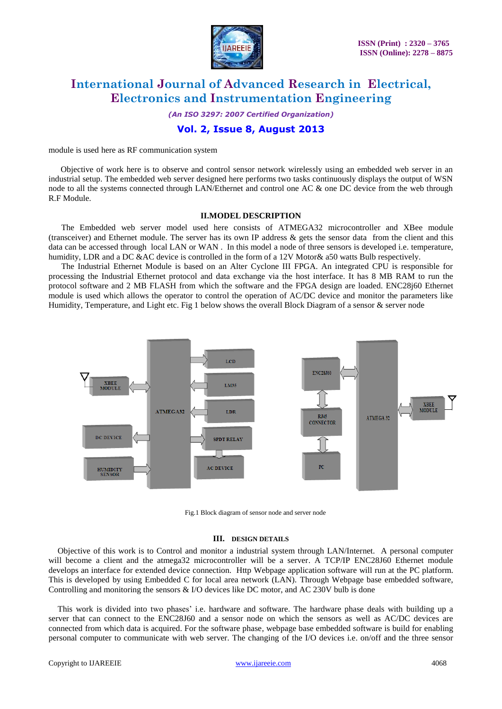

*(An ISO 3297: 2007 Certified Organization)*

### **Vol. 2, Issue 8, August 2013**

module is used here as RF communication system

Objective of work here is to observe and control sensor network wirelessly using an embedded web server in an industrial setup. The embedded web server designed here performs two tasks continuously displays the output of WSN node to all the systems connected through LAN/Ethernet and control one AC & one DC device from the web through R.F Module.

#### **II.MODEL DESCRIPTION**

 The Embedded web server model used here consists of ATMEGA32 microcontroller and XBee module (transceiver) and Ethernet module. The server has its own IP address & gets the sensor data from the client and this data can be accessed through local LAN or WAN . In this model a node of three sensors is developed i.e. temperature, humidity, LDR and a DC &AC device is controlled in the form of a 12V Motor& a50 watts Bulb respectively.

 The Industrial Ethernet Module is based on an Alter Cyclone III FPGA. An integrated CPU is responsible for processing the Industrial Ethernet protocol and data exchange via the host interface. It has 8 MB RAM to run the protocol software and 2 MB FLASH from which the software and the FPGA design are loaded. ENC28j60 Ethernet module is used which allows the operator to control the operation of AC/DC device and monitor the parameters like Humidity, Temperature, and Light etc. Fig 1 below shows the overall Block Diagram of a sensor & server node



Fig.1 Block diagram of sensor node and server node

#### **III. DESIGN DETAILS**

Objective of this work is to Control and monitor a industrial system through LAN/Internet. A personal computer will become a client and the atmega32 microcontroller will be a server. A TCP/IP ENC28J60 Ethernet module develops an interface for extended device connection. Http Webpage application software will run at the PC platform. This is developed by using Embedded C for local area network (LAN). Through Webpage base embedded software, Controlling and monitoring the sensors & I/O devices like DC motor, and AC 230V bulb is done

This work is divided into two phases' i.e. hardware and software. The hardware phase deals with building up a server that can connect to the ENC28J60 and a sensor node on which the sensors as well as AC/DC devices are connected from which data is acquired. For the software phase, webpage base embedded software is build for enabling personal computer to communicate with web server. The changing of the I/O devices i.e. on/off and the three sensor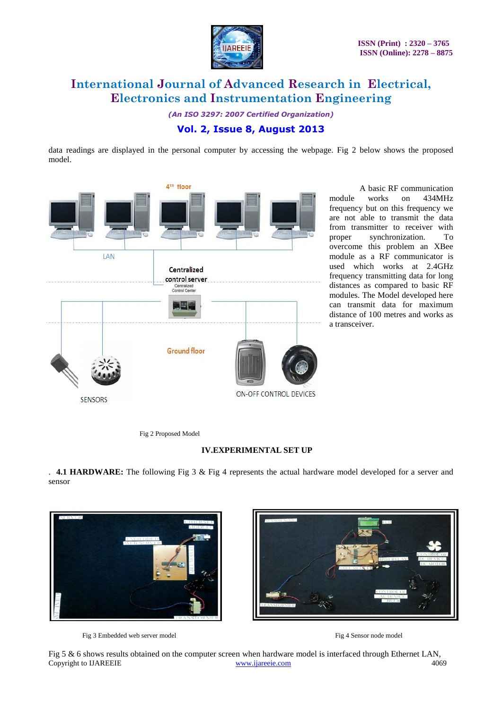

*(An ISO 3297: 2007 Certified Organization)*

### **Vol. 2, Issue 8, August 2013**

data readings are displayed in the personal computer by accessing the webpage. Fig 2 below shows the proposed model.



A basic RF communication module works on 434MHz frequency but on this frequency we are not able to transmit the data from transmitter to receiver with proper synchronization. To overcome this problem an XBee module as a RF communicator is used which works at 2.4GHz frequency transmitting data for long distances as compared to basic RF modules. The Model developed here can transmit data for maximum distance of 100 metres and works as a transceiver.

Fig 2 Proposed Model

#### **IV.EXPERIMENTAL SET UP**

. **4.1 HARDWARE:** The following Fig 3 & Fig 4 represents the actual hardware model developed for a server and sensor



Fig 3 Embedded web server model Fig 4 Sensor node model

Copyright to IJAREEIE [www.ijareeie.com](http://www.ijareeie.com/) 4069 Fig 5 & 6 shows results obtained on the computer screen when hardware model is interfaced through Ethernet LAN,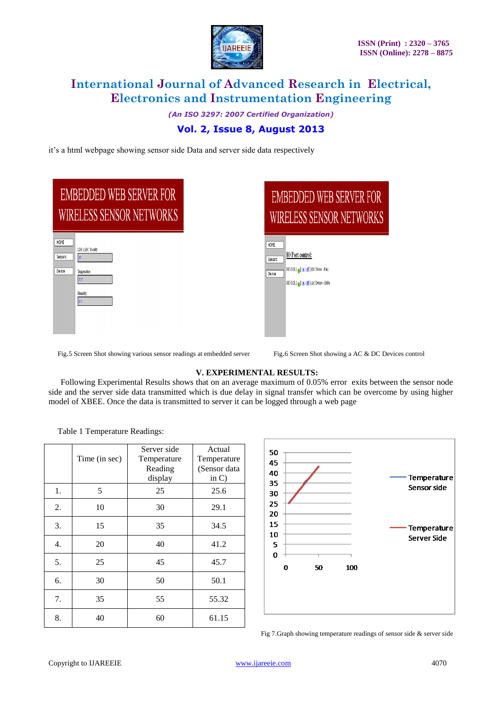

*(An ISO 3297: 2007 Certified Organization)*

### **Vol. 2, Issue 8, August 2013**

it's a html webpage showing sensor side Data and server side data respectively

|                           | <b>EMBEDDED WEB SERVER FOR</b><br><b>WIRELESS SENSOR NETWORKS</b>  |  |
|---------------------------|--------------------------------------------------------------------|--|
| HOME<br>Sensors<br>Device | LDR (ADC Result):<br>20<br>Temperature:<br>315C<br>Humidity:<br>28 |  |



Fig.5 Screen Shot showing various sensor readings at embedded server Fig.6 Screen Shot showing a AC & DC Devices control

#### **V. EXPERIMENTAL RESULTS:**

Following Experimental Results shows that on an average maximum of 0.05% error exits between the sensor node side and the server side data transmitted which is due delay in signal transfer which can be overcome by using higher model of XBEE. Once the data is transmitted to server it can be logged through a web page

Table 1 Temperature Readings:

|    | Time (in sec) | Server side<br>Temperature<br>Reading<br>display | Actual<br>Temperature<br>(Sensor data<br>in $C$ ) |
|----|---------------|--------------------------------------------------|---------------------------------------------------|
| 1. | 5             | 25                                               | 25.6                                              |
| 2. | 10            | 30                                               | 29.1                                              |
| 3. | 15            | 35                                               | 34.5                                              |
| 4. | 20            | 40                                               | 41.2                                              |
| 5. | 25            | 45                                               | 45.7                                              |
| 6. | 30            | 50                                               | 50.1                                              |
| 7. | 35            | 55                                               | 55.32                                             |
| 8. | 40            | 60                                               | 61.15                                             |



Fig 7.Graph showing temperature readings of sensor side & server side